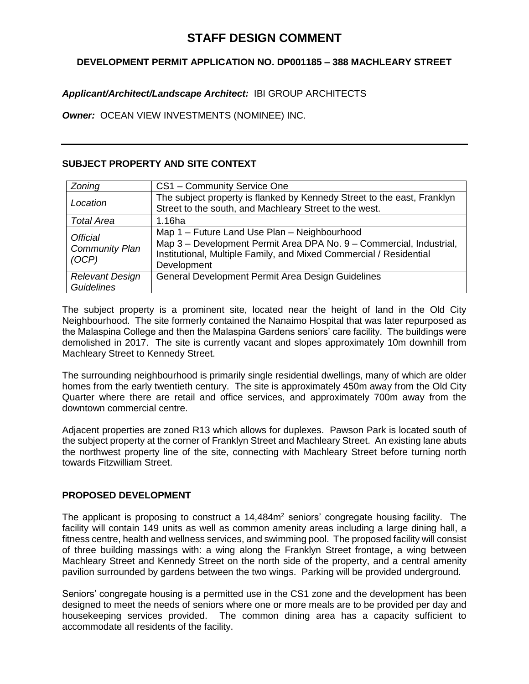# **STAFF DESIGN COMMENT**

# **DEVELOPMENT PERMIT APPLICATION NO. DP001185 – 388 MACHLEARY STREET**

# *Applicant/Architect/Landscape Architect:* IBI GROUP ARCHITECTS

*Owner:* OCEAN VIEW INVESTMENTS (NOMINEE) INC.

## **SUBJECT PROPERTY AND SITE CONTEXT**

| Zoning                                            | CS1 - Community Service One                                                                                                                                                                              |
|---------------------------------------------------|----------------------------------------------------------------------------------------------------------------------------------------------------------------------------------------------------------|
| Location                                          | The subject property is flanked by Kennedy Street to the east, Franklyn<br>Street to the south, and Machleary Street to the west.                                                                        |
| <b>Total Area</b>                                 | 1.16ha                                                                                                                                                                                                   |
| <b>Official</b><br><b>Community Plan</b><br>(OCP) | Map 1 - Future Land Use Plan - Neighbourhood<br>Map 3 - Development Permit Area DPA No. 9 - Commercial, Industrial,<br>Institutional, Multiple Family, and Mixed Commercial / Residential<br>Development |
| <b>Relevant Design</b><br><b>Guidelines</b>       | General Development Permit Area Design Guidelines                                                                                                                                                        |

The subject property is a prominent site, located near the height of land in the Old City Neighbourhood. The site formerly contained the Nanaimo Hospital that was later repurposed as the Malaspina College and then the Malaspina Gardens seniors' care facility. The buildings were demolished in 2017. The site is currently vacant and slopes approximately 10m downhill from Machleary Street to Kennedy Street.

The surrounding neighbourhood is primarily single residential dwellings, many of which are older homes from the early twentieth century. The site is approximately 450m away from the Old City Quarter where there are retail and office services, and approximately 700m away from the downtown commercial centre.

Adjacent properties are zoned R13 which allows for duplexes. Pawson Park is located south of the subject property at the corner of Franklyn Street and Machleary Street. An existing lane abuts the northwest property line of the site, connecting with Machleary Street before turning north towards Fitzwilliam Street.

## **PROPOSED DEVELOPMENT**

The applicant is proposing to construct a  $14,484$ <sup> $\mathrm{m}^2$ </sup> seniors' congregate housing facility. The facility will contain 149 units as well as common amenity areas including a large dining hall, a fitness centre, health and wellness services, and swimming pool. The proposed facility will consist of three building massings with: a wing along the Franklyn Street frontage, a wing between Machleary Street and Kennedy Street on the north side of the property, and a central amenity pavilion surrounded by gardens between the two wings. Parking will be provided underground.

Seniors' congregate housing is a permitted use in the CS1 zone and the development has been designed to meet the needs of seniors where one or more meals are to be provided per day and housekeeping services provided. The common dining area has a capacity sufficient to accommodate all residents of the facility.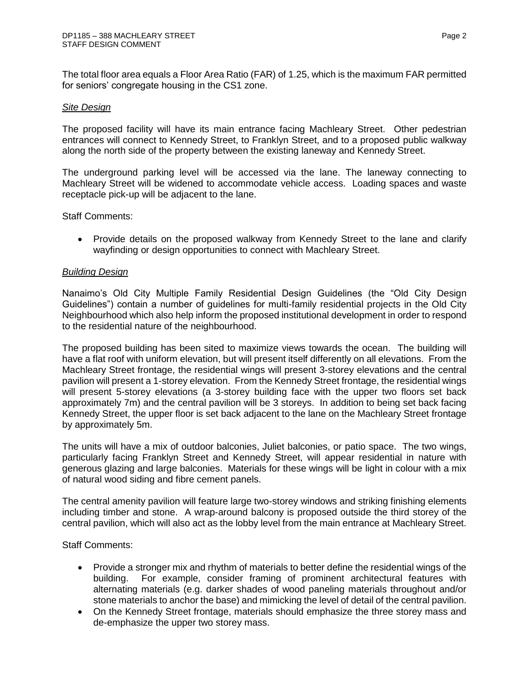The total floor area equals a Floor Area Ratio (FAR) of 1.25, which is the maximum FAR permitted for seniors' congregate housing in the CS1 zone.

#### *Site Design*

The proposed facility will have its main entrance facing Machleary Street. Other pedestrian entrances will connect to Kennedy Street, to Franklyn Street, and to a proposed public walkway along the north side of the property between the existing laneway and Kennedy Street.

The underground parking level will be accessed via the lane. The laneway connecting to Machleary Street will be widened to accommodate vehicle access. Loading spaces and waste receptacle pick-up will be adjacent to the lane.

Staff Comments:

• Provide details on the proposed walkway from Kennedy Street to the lane and clarify wayfinding or design opportunities to connect with Machleary Street.

### *Building Design*

Nanaimo's Old City Multiple Family Residential Design Guidelines (the "Old City Design Guidelines") contain a number of guidelines for multi-family residential projects in the Old City Neighbourhood which also help inform the proposed institutional development in order to respond to the residential nature of the neighbourhood.

The proposed building has been sited to maximize views towards the ocean. The building will have a flat roof with uniform elevation, but will present itself differently on all elevations. From the Machleary Street frontage, the residential wings will present 3-storey elevations and the central pavilion will present a 1-storey elevation. From the Kennedy Street frontage, the residential wings will present 5-storey elevations (a 3-storey building face with the upper two floors set back approximately 7m) and the central pavilion will be 3 storeys. In addition to being set back facing Kennedy Street, the upper floor is set back adjacent to the lane on the Machleary Street frontage by approximately 5m.

The units will have a mix of outdoor balconies, Juliet balconies, or patio space. The two wings, particularly facing Franklyn Street and Kennedy Street, will appear residential in nature with generous glazing and large balconies. Materials for these wings will be light in colour with a mix of natural wood siding and fibre cement panels.

The central amenity pavilion will feature large two-storey windows and striking finishing elements including timber and stone. A wrap-around balcony is proposed outside the third storey of the central pavilion, which will also act as the lobby level from the main entrance at Machleary Street.

Staff Comments:

- Provide a stronger mix and rhythm of materials to better define the residential wings of the building. For example, consider framing of prominent architectural features with alternating materials (e.g. darker shades of wood paneling materials throughout and/or stone materials to anchor the base) and mimicking the level of detail of the central pavilion.
- On the Kennedy Street frontage, materials should emphasize the three storey mass and de-emphasize the upper two storey mass.